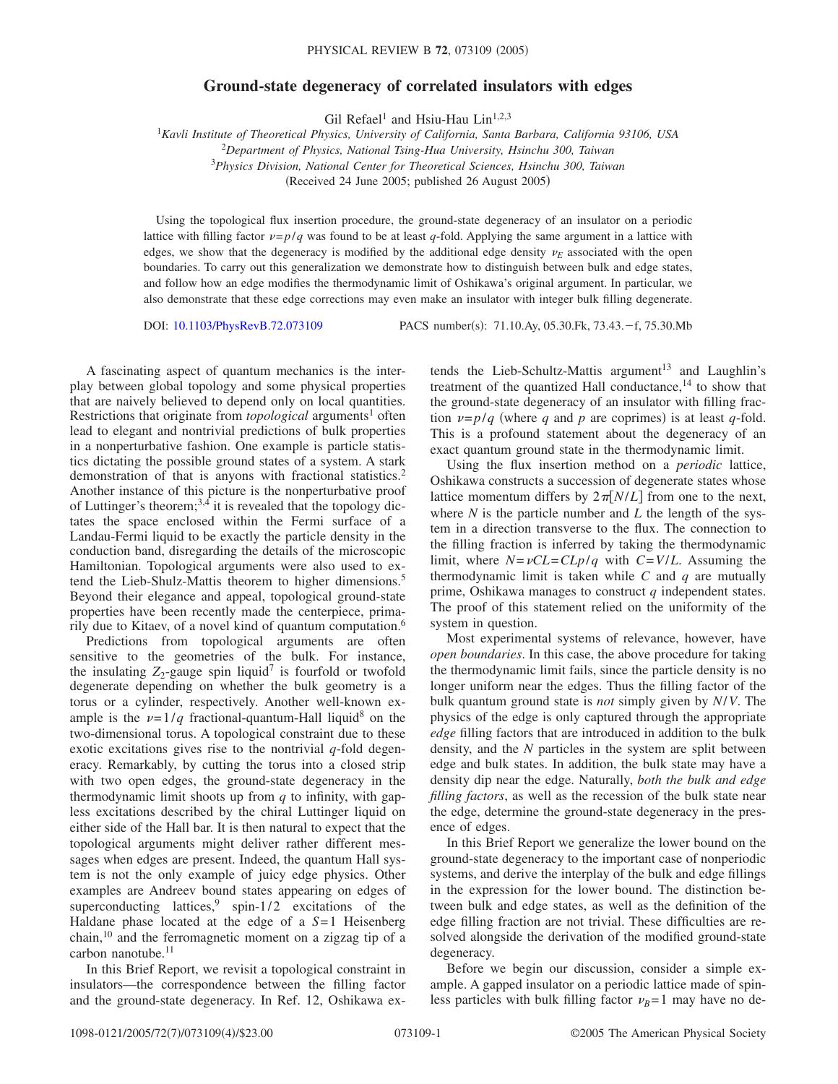## **Ground-state degeneracy of correlated insulators with edges**

Gil Refael<sup>1</sup> and Hsiu-Hau Lin<sup>1,2,3</sup>

 *Kavli Institute of Theoretical Physics, University of California, Santa Barbara, California 93106, USA Department of Physics, National Tsing-Hua University, Hsinchu 300, Taiwan Physics Division, National Center for Theoretical Sciences, Hsinchu 300, Taiwan* (Received 24 June 2005; published 26 August 2005)

Using the topological flux insertion procedure, the ground-state degeneracy of an insulator on a periodic lattice with filling factor  $\nu = p/q$  was found to be at least *q*-fold. Applying the same argument in a lattice with edges, we show that the degeneracy is modified by the additional edge density  $\nu_E$  associated with the open boundaries. To carry out this generalization we demonstrate how to distinguish between bulk and edge states, and follow how an edge modifies the thermodynamic limit of Oshikawa's original argument. In particular, we also demonstrate that these edge corrections may even make an insulator with integer bulk filling degenerate.

DOI: [10.1103/PhysRevB.72.073109](http://dx.doi.org/10.1103/PhysRevB.72.073109)

: 71.10.Ay, 05.30.Fk, 73.43.-f, 75.30.Mb

A fascinating aspect of quantum mechanics is the interplay between global topology and some physical properties that are naively believed to depend only on local quantities. Restrictions that originate from *topological* arguments<sup>1</sup> often lead to elegant and nontrivial predictions of bulk properties in a nonperturbative fashion. One example is particle statistics dictating the possible ground states of a system. A stark demonstration of that is anyons with fractional statistics.<sup>2</sup> Another instance of this picture is the nonperturbative proof of Luttinger's theorem; $^{3,4}$  it is revealed that the topology dictates the space enclosed within the Fermi surface of a Landau-Fermi liquid to be exactly the particle density in the conduction band, disregarding the details of the microscopic Hamiltonian. Topological arguments were also used to extend the Lieb-Shulz-Mattis theorem to higher dimensions.<sup>5</sup> Beyond their elegance and appeal, topological ground-state properties have been recently made the centerpiece, primarily due to Kitaev, of a novel kind of quantum computation.<sup>6</sup>

Predictions from topological arguments are often sensitive to the geometries of the bulk. For instance, the insulating  $Z_2$ -gauge spin liquid<sup>7</sup> is fourfold or twofold degenerate depending on whether the bulk geometry is a torus or a cylinder, respectively. Another well-known example is the  $\nu=1/q$  fractional-quantum-Hall liquid<sup>8</sup> on the two-dimensional torus. A topological constraint due to these exotic excitations gives rise to the nontrivial *q*-fold degeneracy. Remarkably, by cutting the torus into a closed strip with two open edges, the ground-state degeneracy in the thermodynamic limit shoots up from *q* to infinity, with gapless excitations described by the chiral Luttinger liquid on either side of the Hall bar. It is then natural to expect that the topological arguments might deliver rather different messages when edges are present. Indeed, the quantum Hall system is not the only example of juicy edge physics. Other examples are Andreev bound states appearing on edges of superconducting lattices,  $9$  spin-1/2 excitations of the Haldane phase located at the edge of a *S*= 1 Heisenberg chain,10 and the ferromagnetic moment on a zigzag tip of a carbon nanotube.<sup>11</sup>

In this Brief Report, we revisit a topological constraint in insulators—the correspondence between the filling factor and the ground-state degeneracy. In Ref. 12, Oshikawa ex-

tends the Lieb-Schultz-Mattis argument<sup>13</sup> and Laughlin's treatment of the quantized Hall conductance, $14$  to show that the ground-state degeneracy of an insulator with filling fraction  $\nu = p/q$  (where *q* and *p* are coprimes) is at least *q*-fold. This is a profound statement about the degeneracy of an exact quantum ground state in the thermodynamic limit.

Using the flux insertion method on a *periodic* lattice, Oshikawa constructs a succession of degenerate states whose lattice momentum differs by  $2\pi N/L$  from one to the next, where  $N$  is the particle number and  $L$  the length of the system in a direction transverse to the flux. The connection to the filling fraction is inferred by taking the thermodynamic limit, where  $N = \nu CL = CLp/q$  with  $C = V/L$ . Assuming the thermodynamic limit is taken while *C* and *q* are mutually prime, Oshikawa manages to construct *q* independent states. The proof of this statement relied on the uniformity of the system in question.

Most experimental systems of relevance, however, have *open boundaries*. In this case, the above procedure for taking the thermodynamic limit fails, since the particle density is no longer uniform near the edges. Thus the filling factor of the bulk quantum ground state is *not* simply given by *N*/*V*. The physics of the edge is only captured through the appropriate *edge* filling factors that are introduced in addition to the bulk density, and the *N* particles in the system are split between edge and bulk states. In addition, the bulk state may have a density dip near the edge. Naturally, *both the bulk and edge filling factors*, as well as the recession of the bulk state near the edge, determine the ground-state degeneracy in the presence of edges.

In this Brief Report we generalize the lower bound on the ground-state degeneracy to the important case of nonperiodic systems, and derive the interplay of the bulk and edge fillings in the expression for the lower bound. The distinction between bulk and edge states, as well as the definition of the edge filling fraction are not trivial. These difficulties are resolved alongside the derivation of the modified ground-state degeneracy.

Before we begin our discussion, consider a simple example. A gapped insulator on a periodic lattice made of spinless particles with bulk filling factor  $\nu_R = 1$  may have no de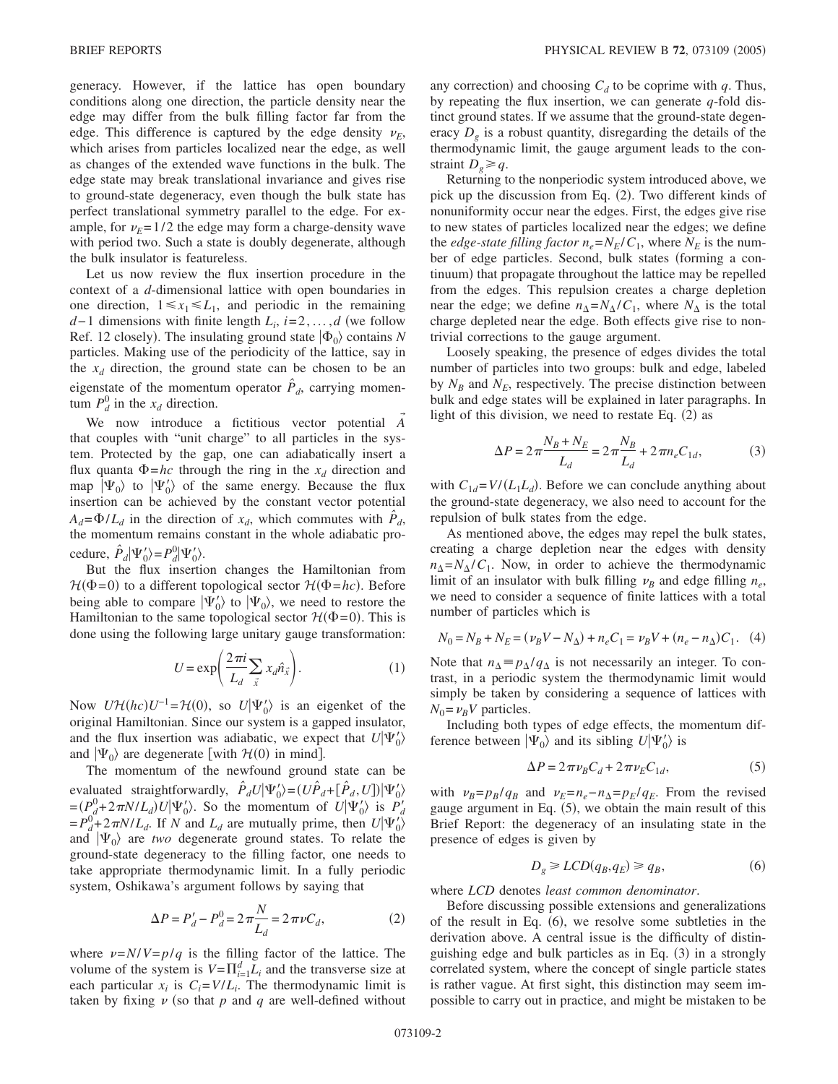generacy. However, if the lattice has open boundary conditions along one direction, the particle density near the edge may differ from the bulk filling factor far from the edge. This difference is captured by the edge density  $\nu_F$ , which arises from particles localized near the edge, as well as changes of the extended wave functions in the bulk. The edge state may break translational invariance and gives rise to ground-state degeneracy, even though the bulk state has perfect translational symmetry parallel to the edge. For example, for  $\nu_F = 1/2$  the edge may form a charge-density wave with period two. Such a state is doubly degenerate, although the bulk insulator is featureless.

Let us now review the flux insertion procedure in the context of a *d*-dimensional lattice with open boundaries in one direction,  $1 \le x_1 \le L_1$ , and periodic in the remaining *d*−1 dimensions with finite length  $L_i$ , *i*=2,...,*d* (we follow Ref. 12 closely). The insulating ground state  $|\Phi_0\rangle$  contains *N* particles. Making use of the periodicity of the lattice, say in the  $x_d$  direction, the ground state can be chosen to be an eigenstate of the momentum operator  $\hat{P}_d$ , carrying momentum  $P_d^0$  in the  $x_d$  direction.

We now introduce a fictitious vector potential *A* that couples with "unit charge" to all particles in the system. Protected by the gap, one can adiabatically insert a flux quanta  $\Phi = hc$  through the ring in the  $x_d$  direction and map  $|\Psi_0\rangle$  to  $|\Psi'_0\rangle$  of the same energy. Because the flux insertion can be achieved by the constant vector potential  $A_d = \Phi/L_d$  in the direction of  $x_d$ , which commutes with  $\hat{P}_d$ , the momentum remains constant in the whole adiabatic procedure,  $\hat{P}_d |\Psi'_0\rangle = P_d^0 |\Psi'_0\rangle$ .

But the flux insertion changes the Hamiltonian from  $H(\Phi = 0)$  to a different topological sector  $H(\Phi = hc)$ . Before being able to compare  $|\Psi_0\rangle$  to  $|\Psi_0\rangle$ , we need to restore the Hamiltonian to the same topological sector  $\mathcal{H}(\Phi = 0)$ . This is done using the following large unitary gauge transformation:

$$
U = \exp\left(\frac{2\pi i}{L_d} \sum_{\vec{x}} x_d \hat{n}_{\vec{x}}\right). \tag{1}
$$

Now  $U\mathcal{H}(hc)U^{-1} = \mathcal{H}(0)$ , so  $U|\Psi'_0\rangle$  is an eigenket of the original Hamiltonian. Since our system is a gapped insulator, and the flux insertion was adiabatic, we expect that  $U|\Psi'_0\rangle$ and  $|\Psi_0\rangle$  are degenerate [with  $\mathcal{H}(0)$  in mind].

The momentum of the newfound ground state can be evaluated straightforwardly,  $\hat{P}_d U | \Psi'_0 \rangle = (U \hat{P}_d + [\hat{P}_d, U]) | \Psi'_0 \rangle$  $= (P_d^0 + 2\pi N/L_d)U|\Psi_0\rangle$ . So the momentum of  $U|\Psi_0\rangle$  is  $P_d$  $= P_d^0 + 2\pi N/L_d$ . If *N* and  $L_d$  are mutually prime, then  $U|\Psi_0\rangle$ and  $|\Psi_0\rangle$  are *two* degenerate ground states. To relate the ground-state degeneracy to the filling factor, one needs to take appropriate thermodynamic limit. In a fully periodic system, Oshikawa's argument follows by saying that

$$
\Delta P = P'_d - P_d^0 = 2\pi \frac{N}{L_d} = 2\pi \nu C_d,\tag{2}
$$

where  $\nu = N/V = p/q$  is the filling factor of the lattice. The volume of the system is  $V = \prod_{i=1}^{d} L_i$  and the transverse size at each particular  $x_i$  is  $C_i = V/L_i$ . The thermodynamic limit is taken by fixing  $\nu$  (so that  $p$  and  $q$  are well-defined without

any correction) and choosing  $C_d$  to be coprime with  $q$ . Thus, by repeating the flux insertion, we can generate *q*-fold distinct ground states. If we assume that the ground-state degeneracy *Dg* is a robust quantity, disregarding the details of the thermodynamic limit, the gauge argument leads to the constraint  $D_e \geq q$ .

Returning to the nonperiodic system introduced above, we pick up the discussion from Eq. (2). Two different kinds of nonuniformity occur near the edges. First, the edges give rise to new states of particles localized near the edges; we define the *edge-state filling factor*  $n_e = N_E/C_1$ , where  $N_E$  is the number of edge particles. Second, bulk states (forming a continuum) that propagate throughout the lattice may be repelled from the edges. This repulsion creates a charge depletion near the edge; we define  $n_{\Delta}=N_{\Delta}/C_1$ , where  $N_{\Delta}$  is the total charge depleted near the edge. Both effects give rise to nontrivial corrections to the gauge argument.

Loosely speaking, the presence of edges divides the total number of particles into two groups: bulk and edge, labeled by  $N_B$  and  $N_E$ , respectively. The precise distinction between bulk and edge states will be explained in later paragraphs. In light of this division, we need to restate Eq.  $(2)$  as

$$
\Delta P = 2\pi \frac{N_B + N_E}{L_d} = 2\pi \frac{N_B}{L_d} + 2\pi n_e C_{1d},\tag{3}
$$

with  $C_{1d} = V/(L_1 L_d)$ . Before we can conclude anything about the ground-state degeneracy, we also need to account for the repulsion of bulk states from the edge.

As mentioned above, the edges may repel the bulk states, creating a charge depletion near the edges with density  $n_{\Delta} = N_{\Delta}/C_1$ . Now, in order to achieve the thermodynamic limit of an insulator with bulk filling  $\nu_B$  and edge filling  $n_e$ , we need to consider a sequence of finite lattices with a total number of particles which is

$$
N_0 = N_B + N_E = (\nu_B V - N_\Delta) + n_e C_1 = \nu_B V + (n_e - n_\Delta) C_1.
$$
 (4)

Note that  $n_{\Delta} \equiv p_{\Delta}/q_{\Delta}$  is not necessarily an integer. To contrast, in a periodic system the thermodynamic limit would simply be taken by considering a sequence of lattices with  $N_0 = \nu_R V$  particles.

Including both types of edge effects, the momentum difference between  $|\Psi_0\rangle$  and its sibling  $U|\Psi'_0\rangle$  is

$$
\Delta P = 2\pi \nu_B C_d + 2\pi \nu_E C_{1d},\tag{5}
$$

with  $\nu_B = p_B/q_B$  and  $\nu_E = n_e - n_A = p_E/q_E$ . From the revised gauge argument in Eq. (5), we obtain the main result of this Brief Report: the degeneracy of an insulating state in the presence of edges is given by

$$
D_g \geq LCD(q_B, q_E) \geq q_B,\tag{6}
$$

where *LCD* denotes *least common denominator*.

Before discussing possible extensions and generalizations of the result in Eq.  $(6)$ , we resolve some subtleties in the derivation above. A central issue is the difficulty of distinguishing edge and bulk particles as in Eq. (3) in a strongly correlated system, where the concept of single particle states is rather vague. At first sight, this distinction may seem impossible to carry out in practice, and might be mistaken to be

→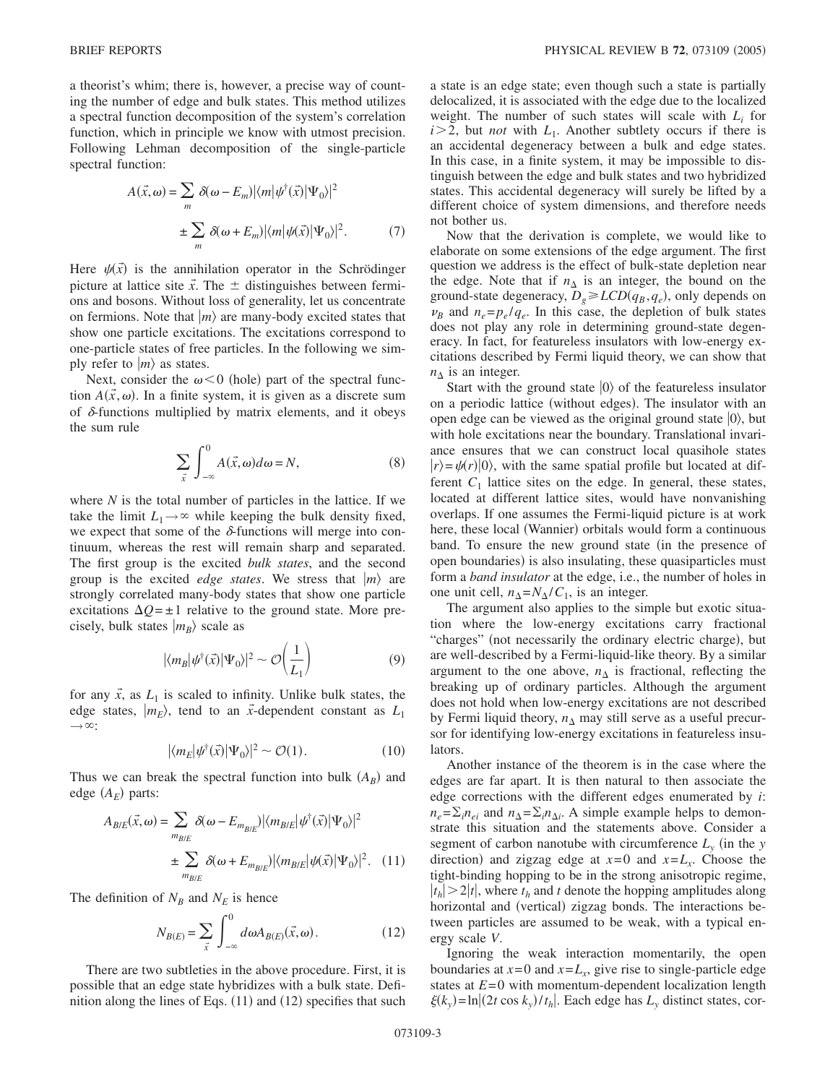a theorist's whim; there is, however, a precise way of counting the number of edge and bulk states. This method utilizes a spectral function decomposition of the system's correlation function, which in principle we know with utmost precision. Following Lehman decomposition of the single-particle spectral function:

$$
A(\vec{x}, \omega) = \sum_{m} \delta(\omega - E_{m}) |\langle m | \psi^{\dagger}(\vec{x}) | \Psi_{0} \rangle|^{2}
$$
  

$$
\pm \sum_{m} \delta(\omega + E_{m}) |\langle m | \psi(\vec{x}) | \Psi_{0} \rangle|^{2}.
$$
 (7)

Here  $\psi(\vec{x})$  is the annihilation operator in the Schrödinger picture at lattice site  $\vec{x}$ . The  $\pm$  distinguishes between fermions and bosons. Without loss of generality, let us concentrate on fermions. Note that  $|m\rangle$  are many-body excited states that show one particle excitations. The excitations correspond to one-particle states of free particles. In the following we simply refer to  $|m\rangle$  as states.

Next, consider the  $\omega < 0$  (hole) part of the spectral function  $A(\vec{x}, \omega)$ . In a finite system, it is given as a discrete sum of  $\delta$ -functions multiplied by matrix elements, and it obeys the sum rule

$$
\sum_{\vec{x}} \int_{-\infty}^{0} A(\vec{x}, \omega) d\omega = N,
$$
\n(8)

where *N* is the total number of particles in the lattice. If we take the limit  $L_1 \rightarrow \infty$  while keeping the bulk density fixed, we expect that some of the  $\delta$ -functions will merge into continuum, whereas the rest will remain sharp and separated. The first group is the excited *bulk states*, and the second group is the excited *edge states*. We stress that  $|m\rangle$  are strongly correlated many-body states that show one particle excitations  $\Delta Q = \pm 1$  relative to the ground state. More precisely, bulk states  $|m_B\rangle$  scale as

$$
|\langle m_B | \psi^\dagger(\vec{x}) | \Psi_0 \rangle|^2 \sim \mathcal{O}\left(\frac{1}{L_1}\right) \tag{9}
$$

for any  $\vec{x}$ , as  $L_1$  is scaled to infinity. Unlike bulk states, the edge states,  $|m_E\rangle$ , tend to an  $\vec{x}$ -dependent constant as  $L_1$  $\longrightarrow \infty$ :

$$
|\langle m_E | \psi^\dagger(\vec{x}) | \Psi_0 \rangle|^2 \sim \mathcal{O}(1). \tag{10}
$$

Thus we can break the spectral function into bulk  $(A_B)$  and edge  $(A_E)$  parts:

$$
A_{B/E}(\vec{x}, \omega) = \sum_{m_{B/E}} \delta(\omega - E_{m_{B/E}}) |\langle m_{B/E} | \psi^{\dagger}(\vec{x}) | \Psi_0 \rangle|^2
$$
  

$$
\pm \sum_{m_{B/E}} \delta(\omega + E_{m_{B/E}}) |\langle m_{B/E} | \psi(\vec{x}) | \Psi_0 \rangle|^2. \quad (11)
$$

The definition of  $N_B$  and  $N_E$  is hence

$$
N_{B(E)} = \sum_{\vec{x}} \int_{-\infty}^{0} d\omega A_{B(E)}(\vec{x}, \omega).
$$
 (12)

There are two subtleties in the above procedure. First, it is possible that an edge state hybridizes with a bulk state. Definition along the lines of Eqs. (11) and (12) specifies that such

a state is an edge state; even though such a state is partially delocalized, it is associated with the edge due to the localized weight. The number of such states will scale with *Li* for  $i > 2$ , but *not* with  $L_1$ . Another subtlety occurs if there is an accidental degeneracy between a bulk and edge states. In this case, in a finite system, it may be impossible to distinguish between the edge and bulk states and two hybridized states. This accidental degeneracy will surely be lifted by a different choice of system dimensions, and therefore needs not bother us.

Now that the derivation is complete, we would like to elaborate on some extensions of the edge argument. The first question we address is the effect of bulk-state depletion near the edge. Note that if  $n_{\Delta}$  is an integer, the bound on the ground-state degeneracy,  $D_g \geq LCD(q_B, q_e)$ , only depends on  $\nu_B$  and  $n_e = p_e / q_e$ . In this case, the depletion of bulk states does not play any role in determining ground-state degeneracy. In fact, for featureless insulators with low-energy excitations described by Fermi liquid theory, we can show that  $n_{\Delta}$  is an integer.

Start with the ground state  $|0\rangle$  of the featureless insulator on a periodic lattice (without edges). The insulator with an open edge can be viewed as the original ground state  $|0\rangle$ , but with hole excitations near the boundary. Translational invariance ensures that we can construct local quasihole states  $|r\rangle = \psi(r)|0\rangle$ , with the same spatial profile but located at different  $C_1$  lattice sites on the edge. In general, these states, located at different lattice sites, would have nonvanishing overlaps. If one assumes the Fermi-liquid picture is at work here, these local (Wannier) orbitals would form a continuous band. To ensure the new ground state (in the presence of open boundaries) is also insulating, these quasiparticles must form a *band insulator* at the edge, i.e., the number of holes in one unit cell,  $n_{\Delta} = N_{\Delta}/C_1$ , is an integer.

The argument also applies to the simple but exotic situation where the low-energy excitations carry fractional "charges" (not necessarily the ordinary electric charge), but are well-described by a Fermi-liquid-like theory. By a similar argument to the one above,  $n_{\Delta}$  is fractional, reflecting the breaking up of ordinary particles. Although the argument does not hold when low-energy excitations are not described by Fermi liquid theory,  $n_{\Delta}$  may still serve as a useful precursor for identifying low-energy excitations in featureless insulators.

Another instance of the theorem is in the case where the edges are far apart. It is then natural to then associate the edge corrections with the different edges enumerated by *i*:  $n_e = \sum_i n_{ei}$  and  $n_{\Delta} = \sum_i n_{\Delta i}$ . A simple example helps to demonstrate this situation and the statements above. Consider a segment of carbon nanotube with circumference  $L<sub>v</sub>$  (in the *y* direction) and zigzag edge at  $x=0$  and  $x=L_x$ . Choose the tight-binding hopping to be in the strong anisotropic regime,  $|t_h| > 2|t|$ , where  $t_h$  and *t* denote the hopping amplitudes along horizontal and (vertical) zigzag bonds. The interactions between particles are assumed to be weak, with a typical energy scale *V*.

Ignoring the weak interaction momentarily, the open boundaries at  $x=0$  and  $x=L_x$ , give rise to single-particle edge states at  $E=0$  with momentum-dependent localization length  $\xi(k_y) = \ln|(2t \cos k_y)/t_h|$ . Each edge has  $L_y$  distinct states, cor